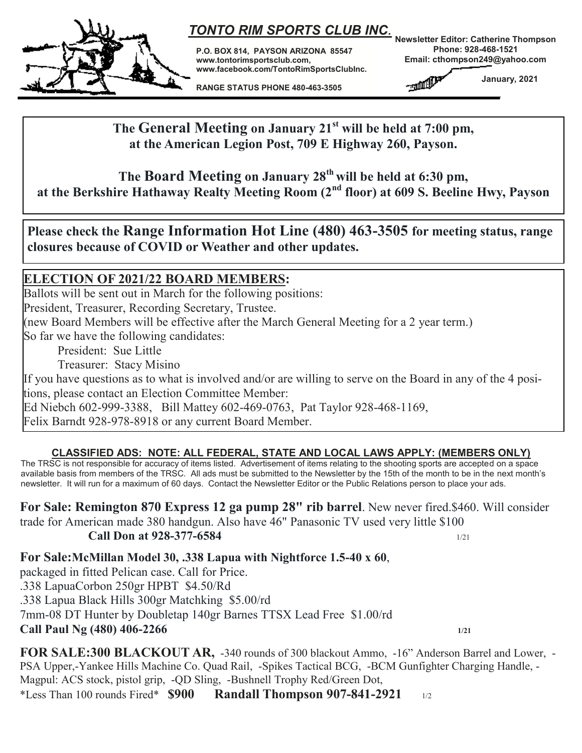

# *TONTO RIM SPORTS CLUB INC.*

**P.O. BOX 814, PAYSON ARIZONA 85547 www.tontorimsportsclub.com, www.facebook.com/TontoRimSportsClubInc.** 

**RANGE STATUS PHONE 480-463-3505**

**Newsletter Editor: Catherine Thompson Phone: 928-468-1521 Email: cthompson249@yahoo.com** 

**THE R. P. LEWIS** 

 **January, 2021**

**The General Meeting on January 21st will be held at 7:00 pm, at the American Legion Post, 709 E Highway 260, Payson.**

**The Board Meeting on January 28th will be held at 6:30 pm, at the Berkshire Hathaway Realty Meeting Room (2nd floor) at 609 S. Beeline Hwy, Payson**

**Please check the Range Information Hot Line (480) 463-3505 for meeting status, range closures because of COVID or Weather and other updates.**

### **ELECTION OF 2021/22 BOARD MEMBERS:**

Ballots will be sent out in March for the following positions: President, Treasurer, Recording Secretary, Trustee. (new Board Members will be effective after the March General Meeting for a 2 year term.) So far we have the following candidates:

President: Sue Little

Treasurer: Stacy Misino

If you have questions as to what is involved and/or are willing to serve on the Board in any of the 4 positions, please contact an Election Committee Member:

Ed Niebch 602-999-3388, Bill Mattey 602-469-0763, Pat Taylor 928-468-1169,

Felix Barndt 928-978-8918 or any current Board Member.

#### **CLASSIFIED ADS: NOTE: ALL FEDERAL, STATE AND LOCAL LAWS APPLY: (MEMBERS ONLY)**

The TRSC is not responsible for accuracy of items listed. Advertisement of items relating to the shooting sports are accepted on a space available basis from members of the TRSC. All ads must be submitted to the Newsletter by the 15th of the month to be in the next month's newsletter. It will run for a maximum of 60 days. Contact the Newsletter Editor or the Public Relations person to place your ads.

**For Sale: Remington 870 Express 12 ga pump 28" rib barrel**. New never fired.\$460. Will consider trade for American made 380 handgun. Also have 46" Panasonic TV used very little \$100

**Call Don at 928-377-6584** 1/21

**For Sale:McMillan Model 30, .338 Lapua with Nightforce 1.5-40 x 60**, packaged in fitted Pelican case. Call for Price. .338 LapuaCorbon 250gr HPBT \$4.50/Rd .338 Lapua Black Hills 300gr Matchking \$5.00/rd 7mm-08 DT Hunter by Doubletap 140gr Barnes TTSX Lead Free \$1.00/rd **Call Paul Ng (480) 406-2266 1/21**

**FOR SALE:300 BLACKOUT AR,** -340 rounds of 300 blackout Ammo, -16" Anderson Barrel and Lower, - PSA Upper,-Yankee Hills Machine Co. Quad Rail, -Spikes Tactical BCG, -BCM Gunfighter Charging Handle, - Magpul: ACS stock, pistol grip, -QD Sling, -Bushnell Trophy Red/Green Dot, \*Less Than 100 rounds Fired\* **\$900 Randall Thompson 907-841-2921** 1/2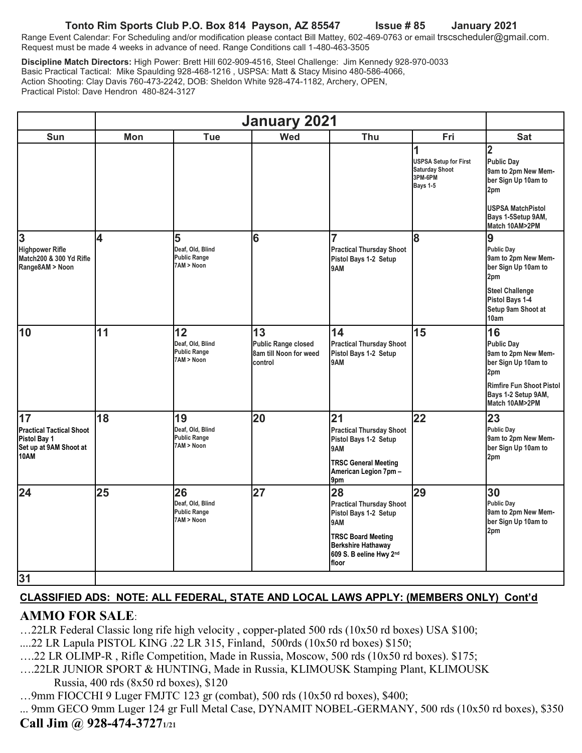#### **Tonto Rim Sports Club P.O. Box 814 Payson, AZ 85547 Issue # 85 January 2021**

Range Event Calendar: For Scheduling and/or modification please contact Bill Mattey, 602-469-0763 or email trscscheduler@gmail.com. Request must be made 4 weeks in advance of need. Range Conditions call 1-480-463-3505

**Discipline Match Directors:** High Power: Brett Hill 602-909-4516, Steel Challenge: Jim Kennedy 928-970-0033 Basic Practical Tactical: Mike Spaulding 928-468-1216 , USPSA: Matt & Stacy Misino 480-586-4066, Action Shooting: Clay Davis 760-473-2242, DOB: Sheldon White 928-474-1182, Archery, OPEN, Practical Pistol: Dave Hendron 480-824-3127

| Sun                                                                                     | Mon | Tue                                                         | Wed                                                                   | Thu                                                                                                                                                                 | Fri                                                                                      | <b>Sat</b>                                                                                                                                                   |
|-----------------------------------------------------------------------------------------|-----|-------------------------------------------------------------|-----------------------------------------------------------------------|---------------------------------------------------------------------------------------------------------------------------------------------------------------------|------------------------------------------------------------------------------------------|--------------------------------------------------------------------------------------------------------------------------------------------------------------|
|                                                                                         |     |                                                             |                                                                       |                                                                                                                                                                     | 1<br><b>USPSA Setup for First</b><br><b>Saturday Shoot</b><br>3PM-6PM<br><b>Bays 1-5</b> | $\overline{2}$<br><b>Public Day</b><br>9am to 2pm New Mem-<br>ber Sign Up 10am to<br>2pm<br><b>USPSA MatchPistol</b><br>Bays 1-5Setup 9AM,<br>Match 10AM>2PM |
| $\overline{3}$<br><b>Highpower Rifle</b><br>Match200 & 300 Yd Rifle<br>Range8AM > Noon  | 4   | 5<br>Deaf, Old, Blind<br><b>Public Range</b><br>7AM > Noon  | 6                                                                     | 7<br><b>Practical Thursday Shoot</b><br>Pistol Bays 1-2 Setup<br>9AM                                                                                                | 8                                                                                        | 9<br><b>Public Day</b><br>9am to 2pm New Mem-<br>ber Sign Up 10am to<br>2pm<br><b>Steel Challenge</b><br>Pistol Bays 1-4<br>Setup 9am Shoot at<br>10am       |
| 10                                                                                      | 11  | 12<br>Deaf, Old, Blind<br><b>Public Range</b><br>7AM > Noon | 13<br><b>Public Range closed</b><br>8am till Noon for weed<br>control | 14<br><b>Practical Thursday Shoot</b><br>Pistol Bays 1-2 Setup<br>9AM                                                                                               | 15                                                                                       | 16<br><b>Public Day</b><br>9am to 2pm New Mem-<br>ber Sign Up 10am to<br>2pm<br><b>Rimfire Fun Shoot Pistol</b><br>Bays 1-2 Setup 9AM,<br>Match 10AM>2PM     |
| 17<br><b>Practical Tactical Shoot</b><br>Pistol Bay 1<br>Set up at 9AM Shoot at<br>10AM | 18  | 19<br>Deaf, Old, Blind<br><b>Public Range</b><br>7AM > Noon | 20                                                                    | 21<br><b>Practical Thursday Shoot</b><br>Pistol Bays 1-2 Setup<br>9AM<br><b>TRSC General Meeting</b><br>American Legion 7pm -<br>9pm                                | 22                                                                                       | 23<br><b>Public Day</b><br>9am to 2pm New Mem-<br>ber Sign Up 10am to<br>2pm                                                                                 |
| 24<br>31                                                                                | 25  | 26<br>Deaf, Old, Blind<br><b>Public Range</b><br>7AM > Noon | 27                                                                    | 28<br><b>Practical Thursday Shoot</b><br>Pistol Bays 1-2 Setup<br>9AM<br><b>TRSC Board Meeting</b><br><b>Berkshire Hathaway</b><br>609 S. B eeline Hwy 2nd<br>floor | 29                                                                                       | 30<br><b>Public Day</b><br>9am to 2pm New Mem-<br>ber Sign Up 10am to<br>2pm                                                                                 |
|                                                                                         |     |                                                             |                                                                       |                                                                                                                                                                     |                                                                                          |                                                                                                                                                              |

### **CLASSIFIED ADS: NOTE: ALL FEDERAL, STATE AND LOCAL LAWS APPLY: (MEMBERS ONLY) Cont'd**

## **AMMO FOR SALE**:

…22LR Federal Classic long rife high velocity , copper-plated 500 rds (10x50 rd boxes) USA \$100;

- ....22 LR Lapula PISTOL KING .22 LR 315, Finland, 500rds (10x50 rd boxes) \$150;
- ….22 LR OLIMP-R , Rifle Competition, Made in Russia, Moscow, 500 rds (10x50 rd boxes). \$175;
- ….22LR JUNIOR SPORT & HUNTING, Made in Russia, KLIMOUSK Stamping Plant, KLIMOUSK Russia, 400 rds (8x50 rd boxes), \$120
- …9mm FIOCCHI 9 Luger FMJTC 123 gr (combat), 500 rds (10x50 rd boxes), \$400;

... 9mm GECO 9mm Luger 124 gr Full Metal Case, DYNAMIT NOBEL-GERMANY, 500 rds (10x50 rd boxes), \$350

## **Call Jim @ 928-474-37271/21**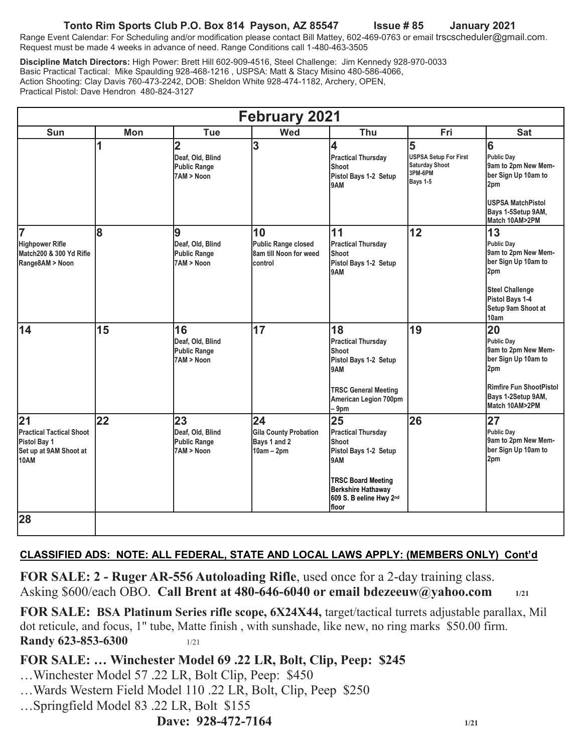### **Tonto Rim Sports Club P.O. Box 814 Payson, AZ 85547 Issue # 85 January 2021**

Range Event Calendar: For Scheduling and/or modification please contact Bill Mattey, 602-469-0763 or email trscscheduler@gmail.com. Request must be made 4 weeks in advance of need. Range Conditions call 1-480-463-3505

**Discipline Match Directors:** High Power: Brett Hill 602-909-4516, Steel Challenge: Jim Kennedy 928-970-0033 Basic Practical Tactical: Mike Spaulding 928-468-1216 , USPSA: Matt & Stacy Misino 480-586-4066, Action Shooting: Clay Davis 760-473-2242, DOB: Sheldon White 928-474-1182, Archery, OPEN, Practical Pistol: Dave Hendron 480-824-3127

| <b>February 2021</b>                                                                           |     |                                                                         |                                                                       |                                                                                                                                                                  |                                                                                          |                                                                                                                                                  |  |
|------------------------------------------------------------------------------------------------|-----|-------------------------------------------------------------------------|-----------------------------------------------------------------------|------------------------------------------------------------------------------------------------------------------------------------------------------------------|------------------------------------------------------------------------------------------|--------------------------------------------------------------------------------------------------------------------------------------------------|--|
| <b>Sun</b>                                                                                     | Mon | <b>Tue</b>                                                              | <b>Wed</b>                                                            | Thu                                                                                                                                                              | Fri                                                                                      | <b>Sat</b>                                                                                                                                       |  |
|                                                                                                | 1   | $\overline{2}$<br>Deaf, Old, Blind<br><b>Public Range</b><br>7AM > Noon | 3                                                                     | 4<br><b>Practical Thursday</b><br>Shoot<br>Pistol Bays 1-2 Setup<br>9AM                                                                                          | 5<br><b>USPSA Setup For First</b><br><b>Saturday Shoot</b><br>3PM-6PM<br><b>Bays 1-5</b> | 6<br><b>Public Day</b><br>9am to 2pm New Mem-<br>ber Sign Up 10am to<br>2pm<br><b>USPSA MatchPistol</b><br>Bays 1-5Setup 9AM,<br>Match 10AM>2PM  |  |
| 7<br><b>Highpower Rifle</b><br>Match200 & 300 Yd Rifle<br>Range8AM > Noon                      | 8   | 9<br>Deaf, Old, Blind<br><b>Public Range</b><br>7AM > Noon              | 10<br><b>Public Range closed</b><br>8am till Noon for weed<br>control | 11<br><b>Practical Thursday</b><br>Shoot<br>Pistol Bays 1-2 Setup<br>9AM                                                                                         | 12                                                                                       | 13<br>Public Day<br>9am to 2pm New Mem-<br>ber Sign Up 10am to<br>2pm<br><b>Steel Challenge</b><br>Pistol Bays 1-4<br>Setup 9am Shoot at<br>10am |  |
| 14                                                                                             | 15  | 16<br>Deaf, Old, Blind<br><b>Public Range</b><br>7AM > Noon             | 17                                                                    | 18<br><b>Practical Thursday</b><br>Shoot<br>Pistol Bays 1-2 Setup<br>9AM<br><b>TRSC General Meeting</b><br>American Legion 700pm<br>$-9pm$                       | 19                                                                                       | 20<br>Public Day<br>9am to 2pm New Mem-<br>ber Sign Up 10am to<br>2pm<br>Rimfire Fun ShootPistol<br>Bays 1-2Setup 9AM,<br>Match 10AM>2PM         |  |
| 21<br><b>Practical Tactical Shoot</b><br>Pistol Bay 1<br>Set up at 9AM Shoot at<br><b>10AM</b> | 22  | 23<br>Deaf, Old, Blind<br><b>Public Range</b><br>7AM > Noon             | 24<br><b>Gila County Probation</b><br>Bays 1 and 2<br>$10am - 2pm$    | 25<br><b>Practical Thursday</b><br>Shoot<br>Pistol Bays 1-2 Setup<br>9AM<br><b>TRSC Board Meeting</b><br>Berkshire Hathaway<br>609 S. B eeline Hwy 2nd<br>lfloor | 26                                                                                       | 27<br><b>Public Day</b><br>9am to 2pm New Mem-<br>ber Sign Up 10am to<br>2pm                                                                     |  |
| 28                                                                                             |     |                                                                         |                                                                       |                                                                                                                                                                  |                                                                                          |                                                                                                                                                  |  |

#### **CLASSIFIED ADS: NOTE: ALL FEDERAL, STATE AND LOCAL LAWS APPLY: (MEMBERS ONLY) Cont'd**

**FOR SALE: 2 - Ruger AR-556 Autoloading Rifle**, used once for a 2-day training class. Asking \$600/each OBO. **Call Brent at 480-646-6040 or email bdezeeuw@yahoo.com 1/21**

**FOR SALE: BSA Platinum Series rifle scope, 6X24X44,** target/tactical turrets adjustable parallax, Mil dot reticule, and focus, 1" tube, Matte finish , with sunshade, like new, no ring marks \$50.00 firm. **Randy 623-853-6300** 1/21

#### **FOR SALE: … Winchester Model 69 .22 LR, Bolt, Clip, Peep: \$245**

- …Winchester Model 57 .22 LR, Bolt Clip, Peep: \$450
- …Wards Western Field Model 110 .22 LR, Bolt, Clip, Peep \$250
- …Springfield Model 83 .22 LR, Bolt \$155

## **Dave: 928-472-7164** 1/21